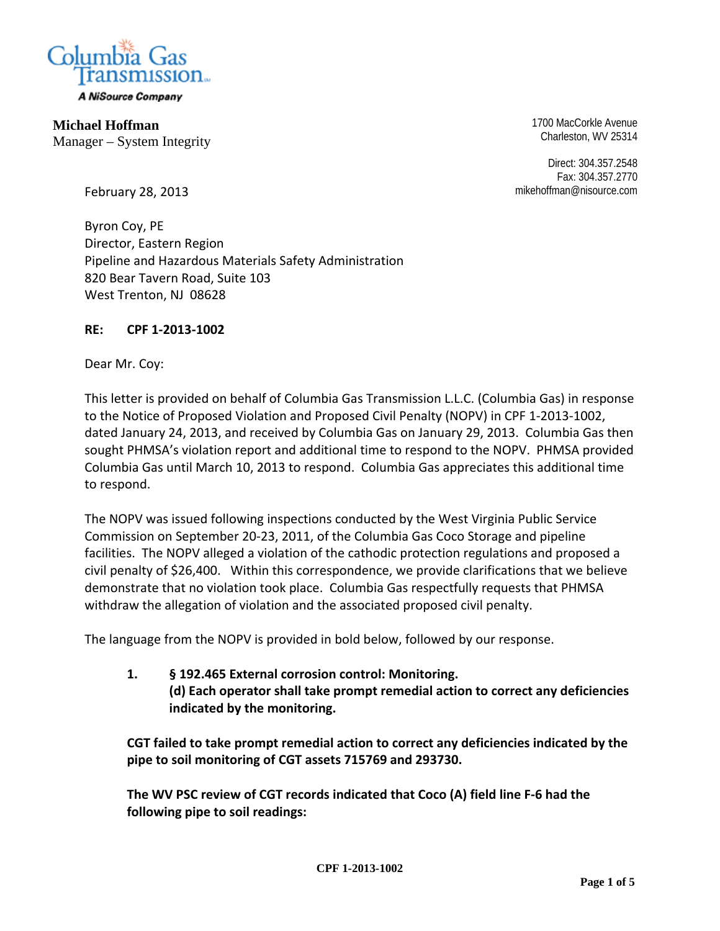

A NiSource Company

**Michael Hoffman**  Manager – System Integrity 1700 MacCorkle Avenue Charleston, WV 25314

Direct: 304.357.2548 Fax: 304.357.2770 mikehoffman@nisource.com

February 28, 2013

Byron Coy, PE Director, Eastern Region Pipeline and Hazardous Materials Safety Administration 820 Bear Tavern Road, Suite 103 West Trenton, NJ 08628

#### **RE: CPF 1-2013-1002**

Dear Mr. Coy:

This letter is provided on behalf of Columbia Gas Transmission L.L.C. (Columbia Gas) in response to the Notice of Proposed Violation and Proposed Civil Penalty (NOPV) in CPF 1-2013-1002, dated January 24, 2013, and received by Columbia Gas on January 29, 2013. Columbia Gas then sought PHMSA's violation report and additional time to respond to the NOPV. PHMSA provided Columbia Gas until March 10, 2013 to respond. Columbia Gas appreciates this additional time to respond.

The NOPV was issued following inspections conducted by the West Virginia Public Service Commission on September 20-23, 2011, of the Columbia Gas Coco Storage and pipeline facilities. The NOPV alleged a violation of the cathodic protection regulations and proposed a civil penalty of \$26,400. Within this correspondence, we provide clarifications that we believe demonstrate that no violation took place. Columbia Gas respectfully requests that PHMSA withdraw the allegation of violation and the associated proposed civil penalty.

The language from the NOPV is provided in bold below, followed by our response.

**1. § 192.465 External corrosion control: Monitoring. (d) Each operator shall take prompt remedial action to correct any deficiencies indicated by the monitoring.** 

**CGT failed to take prompt remedial action to correct any deficiencies indicated by the pipe to soil monitoring of CGT assets 715769 and 293730.** 

**The WV PSC review of CGT records indicated that Coco (A) field line F-6 had the following pipe to soil readings:**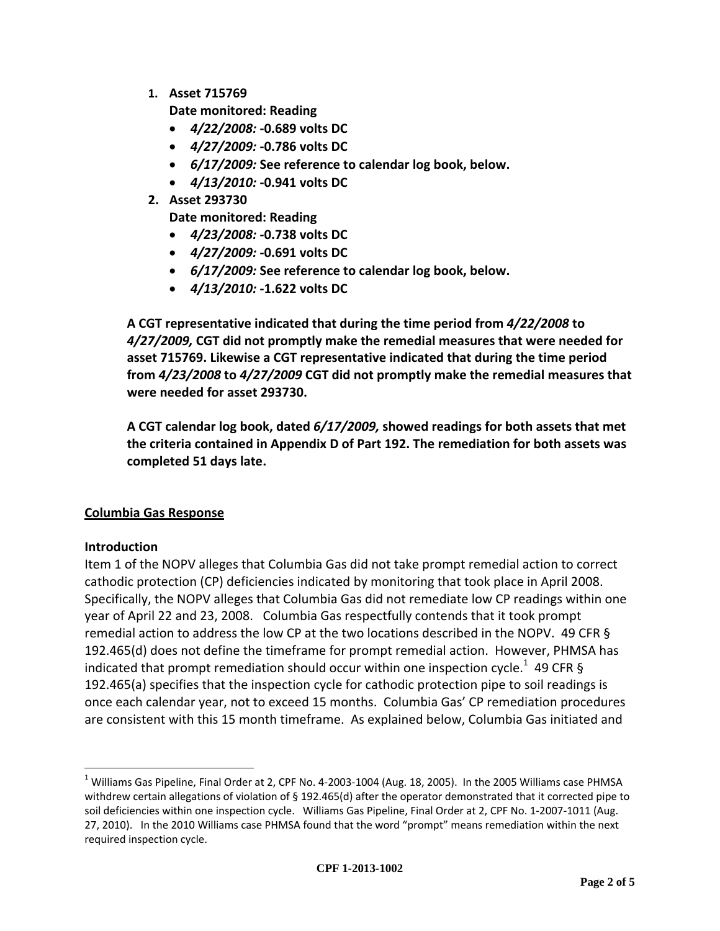**1. Asset 715769** 

**Date monitored: Reading** 

- *4/22/2008:* **-0.689 volts DC**
- *4/27/2009:* **-0.786 volts DC**
- *6/17/2009:* **See reference to calendar log book, below.**
- *4/13/2010:* **-0.941 volts DC**
- **2. Asset 293730**

**Date monitored: Reading** 

- *4/23/2008:* **-0.738 volts DC**
- *4/27/2009:* **-0.691 volts DC**
- *6/17/2009:* **See reference to calendar log book, below.**
- *4/13/2010:* **-1.622 volts DC**

**A CGT representative indicated that during the time period from** *4/22/2008* **to**  *4/27/2009,* **CGT did not promptly make the remedial measures that were needed for asset 715769. Likewise a CGT representative indicated that during the time period from** *4/23/2008* **to** *4/27/2009* **CGT did not promptly make the remedial measures that were needed for asset 293730.** 

**A CGT calendar log book, dated** *6/17/2009,* **showed readings for both assets that met the criteria contained in Appendix D of Part 192. The remediation for both assets was completed 51 days late.** 

### **Columbia Gas Response**

#### **Introduction**

 $\overline{a}$ 

Item 1 of the NOPV alleges that Columbia Gas did not take prompt remedial action to correct cathodic protection (CP) deficiencies indicated by monitoring that took place in April 2008. Specifically, the NOPV alleges that Columbia Gas did not remediate low CP readings within one year of April 22 and 23, 2008. Columbia Gas respectfully contends that it took prompt remedial action to address the low CP at the two locations described in the NOPV. 49 CFR § 192.465(d) does not define the timeframe for prompt remedial action. However, PHMSA has indicated that prompt remediation should occur within one inspection cycle.<sup>1</sup> 49 CFR § 192.465(a) specifies that the inspection cycle for cathodic protection pipe to soil readings is once each calendar year, not to exceed 15 months. Columbia Gas' CP remediation procedures are consistent with this 15 month timeframe. As explained below, Columbia Gas initiated and

 $^1$  Williams Gas Pipeline, Final Order at 2, CPF No. 4-2003-1004 (Aug. 18, 2005). In the 2005 Williams case PHMSA withdrew certain allegations of violation of § 192.465(d) after the operator demonstrated that it corrected pipe to soil deficiencies within one inspection cycle. Williams Gas Pipeline, Final Order at 2, CPF No. 1-2007-1011 (Aug. 27, 2010). In the 2010 Williams case PHMSA found that the word "prompt" means remediation within the next required inspection cycle.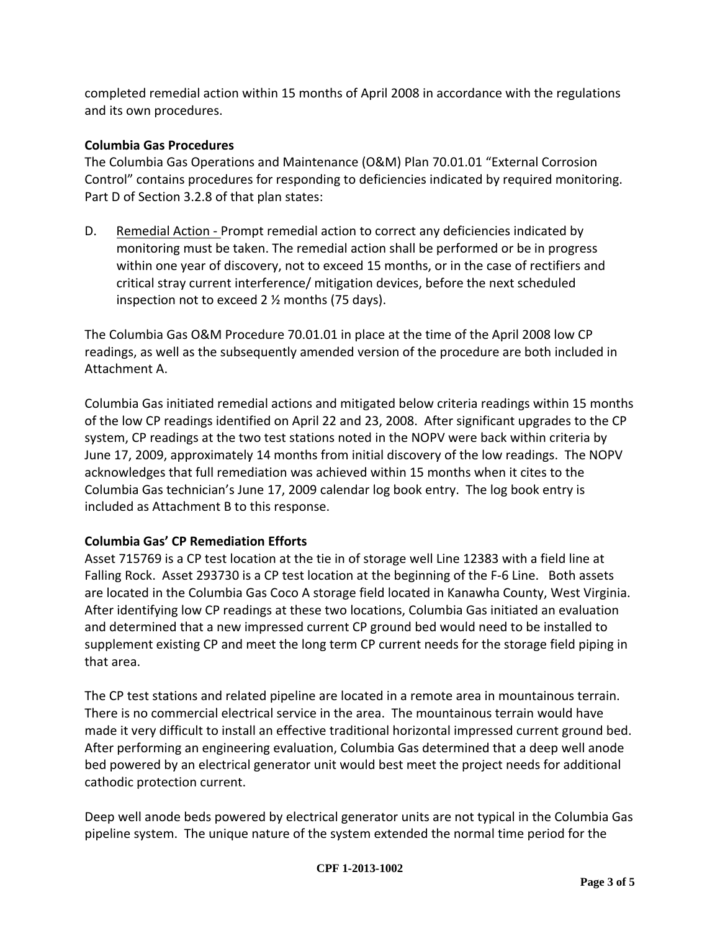completed remedial action within 15 months of April 2008 in accordance with the regulations and its own procedures.

## **Columbia Gas Procedures**

The Columbia Gas Operations and Maintenance (O&M) Plan 70.01.01 "External Corrosion Control" contains procedures for responding to deficiencies indicated by required monitoring. Part D of Section 3.2.8 of that plan states:

D. Remedial Action - Prompt remedial action to correct any deficiencies indicated by monitoring must be taken. The remedial action shall be performed or be in progress within one year of discovery, not to exceed 15 months, or in the case of rectifiers and critical stray current interference/ mitigation devices, before the next scheduled inspection not to exceed 2 ½ months (75 days).

The Columbia Gas O&M Procedure 70.01.01 in place at the time of the April 2008 low CP readings, as well as the subsequently amended version of the procedure are both included in Attachment A.

Columbia Gas initiated remedial actions and mitigated below criteria readings within 15 months of the low CP readings identified on April 22 and 23, 2008. After significant upgrades to the CP system, CP readings at the two test stations noted in the NOPV were back within criteria by June 17, 2009, approximately 14 months from initial discovery of the low readings. The NOPV acknowledges that full remediation was achieved within 15 months when it cites to the Columbia Gas technician's June 17, 2009 calendar log book entry. The log book entry is included as Attachment B to this response.

# **Columbia Gas' CP Remediation Efforts**

Asset 715769 is a CP test location at the tie in of storage well Line 12383 with a field line at Falling Rock. Asset 293730 is a CP test location at the beginning of the F-6 Line. Both assets are located in the Columbia Gas Coco A storage field located in Kanawha County, West Virginia. After identifying low CP readings at these two locations, Columbia Gas initiated an evaluation and determined that a new impressed current CP ground bed would need to be installed to supplement existing CP and meet the long term CP current needs for the storage field piping in that area.

The CP test stations and related pipeline are located in a remote area in mountainous terrain. There is no commercial electrical service in the area. The mountainous terrain would have made it very difficult to install an effective traditional horizontal impressed current ground bed. After performing an engineering evaluation, Columbia Gas determined that a deep well anode bed powered by an electrical generator unit would best meet the project needs for additional cathodic protection current.

Deep well anode beds powered by electrical generator units are not typical in the Columbia Gas pipeline system. The unique nature of the system extended the normal time period for the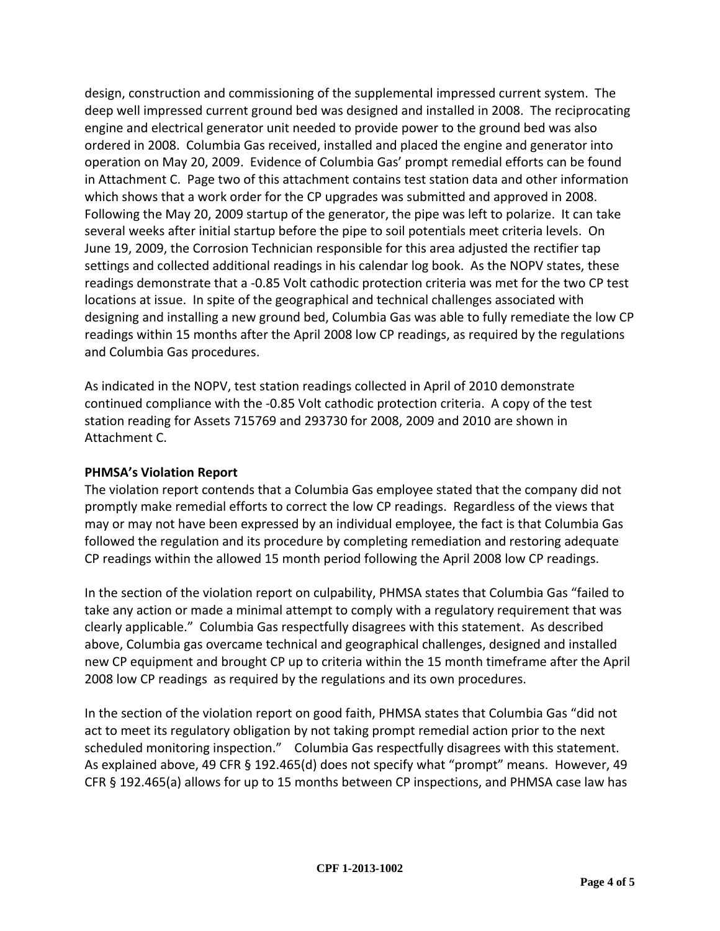design, construction and commissioning of the supplemental impressed current system. The deep well impressed current ground bed was designed and installed in 2008. The reciprocating engine and electrical generator unit needed to provide power to the ground bed was also ordered in 2008. Columbia Gas received, installed and placed the engine and generator into operation on May 20, 2009. Evidence of Columbia Gas' prompt remedial efforts can be found in Attachment C. Page two of this attachment contains test station data and other information which shows that a work order for the CP upgrades was submitted and approved in 2008. Following the May 20, 2009 startup of the generator, the pipe was left to polarize. It can take several weeks after initial startup before the pipe to soil potentials meet criteria levels. On June 19, 2009, the Corrosion Technician responsible for this area adjusted the rectifier tap settings and collected additional readings in his calendar log book. As the NOPV states, these readings demonstrate that a -0.85 Volt cathodic protection criteria was met for the two CP test locations at issue. In spite of the geographical and technical challenges associated with designing and installing a new ground bed, Columbia Gas was able to fully remediate the low CP readings within 15 months after the April 2008 low CP readings, as required by the regulations and Columbia Gas procedures.

As indicated in the NOPV, test station readings collected in April of 2010 demonstrate continued compliance with the -0.85 Volt cathodic protection criteria. A copy of the test station reading for Assets 715769 and 293730 for 2008, 2009 and 2010 are shown in Attachment C.

### **PHMSA's Violation Report**

The violation report contends that a Columbia Gas employee stated that the company did not promptly make remedial efforts to correct the low CP readings. Regardless of the views that may or may not have been expressed by an individual employee, the fact is that Columbia Gas followed the regulation and its procedure by completing remediation and restoring adequate CP readings within the allowed 15 month period following the April 2008 low CP readings.

In the section of the violation report on culpability, PHMSA states that Columbia Gas "failed to take any action or made a minimal attempt to comply with a regulatory requirement that was clearly applicable." Columbia Gas respectfully disagrees with this statement. As described above, Columbia gas overcame technical and geographical challenges, designed and installed new CP equipment and brought CP up to criteria within the 15 month timeframe after the April 2008 low CP readings as required by the regulations and its own procedures.

In the section of the violation report on good faith, PHMSA states that Columbia Gas "did not act to meet its regulatory obligation by not taking prompt remedial action prior to the next scheduled monitoring inspection." Columbia Gas respectfully disagrees with this statement. As explained above, 49 CFR § 192.465(d) does not specify what "prompt" means. However, 49 CFR § 192.465(a) allows for up to 15 months between CP inspections, and PHMSA case law has